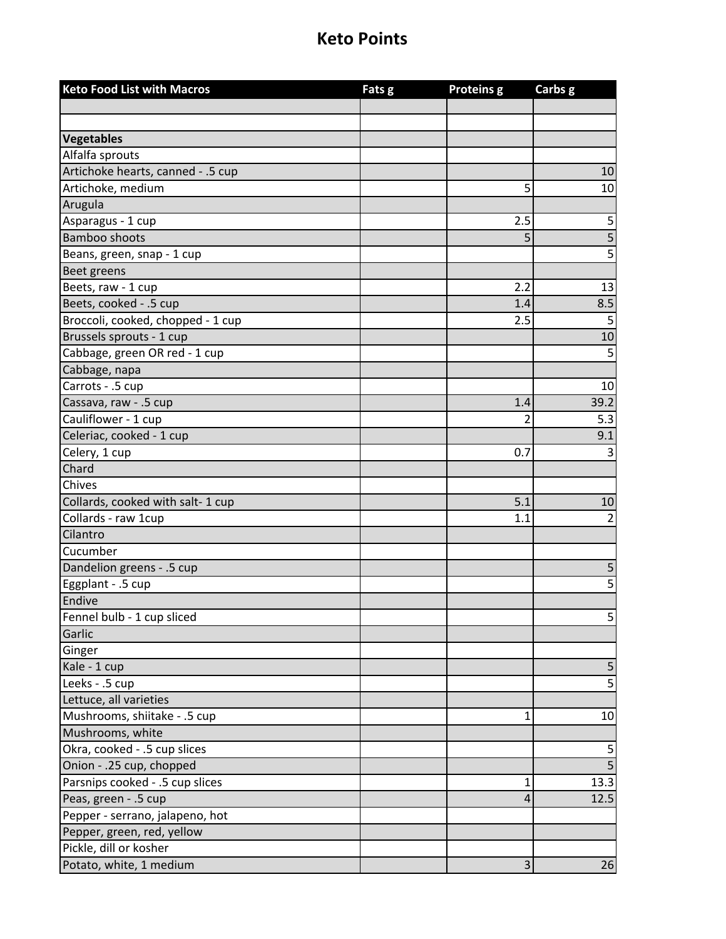| <b>Keto Food List with Macros</b> | Fats g | <b>Proteins g</b> | Carbs g        |
|-----------------------------------|--------|-------------------|----------------|
|                                   |        |                   |                |
|                                   |        |                   |                |
| Vegetables                        |        |                   |                |
| Alfalfa sprouts                   |        |                   |                |
| Artichoke hearts, canned - .5 cup |        |                   | 10             |
| Artichoke, medium                 |        | 5                 | 10             |
| Arugula                           |        |                   |                |
| Asparagus - 1 cup                 |        | 2.5               | 5              |
| <b>Bamboo shoots</b>              |        | 5                 | 5              |
| Beans, green, snap - 1 cup        |        |                   | 5              |
| <b>Beet greens</b>                |        |                   |                |
| Beets, raw - 1 cup                |        | 2.2               | 13             |
| Beets, cooked - .5 cup            |        | 1.4               | 8.5            |
| Broccoli, cooked, chopped - 1 cup |        | 2.5               | 5              |
| Brussels sprouts - 1 cup          |        |                   | 10             |
| Cabbage, green OR red - 1 cup     |        |                   | 5              |
| Cabbage, napa                     |        |                   |                |
| Carrots - .5 cup                  |        |                   | 10             |
| Cassava, raw - .5 cup             |        | 1.4               | 39.2           |
| Cauliflower - 1 cup               |        | 2                 | 5.3            |
| Celeriac, cooked - 1 cup          |        |                   | 9.1            |
| Celery, 1 cup                     |        | 0.7               | 3              |
| Chard                             |        |                   |                |
| Chives                            |        |                   |                |
| Collards, cooked with salt-1 cup  |        | 5.1               | 10             |
| Collards - raw 1cup               |        | 1.1               | $\overline{2}$ |
| Cilantro                          |        |                   |                |
| Cucumber                          |        |                   |                |
| Dandelion greens - .5 cup         |        |                   | 5              |
| Eggplant - .5 cup                 |        |                   | 5              |
| Endive                            |        |                   |                |
| Fennel bulb - 1 cup sliced        |        |                   | 5              |
| Garlic                            |        |                   |                |
| Ginger                            |        |                   |                |
| Kale - 1 cup                      |        |                   | $\mathsf S$    |
| Leeks - .5 cup                    |        |                   | 5              |
| Lettuce, all varieties            |        |                   |                |
| Mushrooms, shiitake - .5 cup      |        | 1                 | 10             |
| Mushrooms, white                  |        |                   |                |
| Okra, cooked - .5 cup slices      |        |                   | 5              |
| Onion - .25 cup, chopped          |        |                   | 5              |
| Parsnips cooked - .5 cup slices   |        | 1                 | 13.3           |
| Peas, green - .5 cup              |        | 4                 | 12.5           |
| Pepper - serrano, jalapeno, hot   |        |                   |                |
| Pepper, green, red, yellow        |        |                   |                |
| Pickle, dill or kosher            |        |                   |                |
| Potato, white, 1 medium           |        | 3                 | 26             |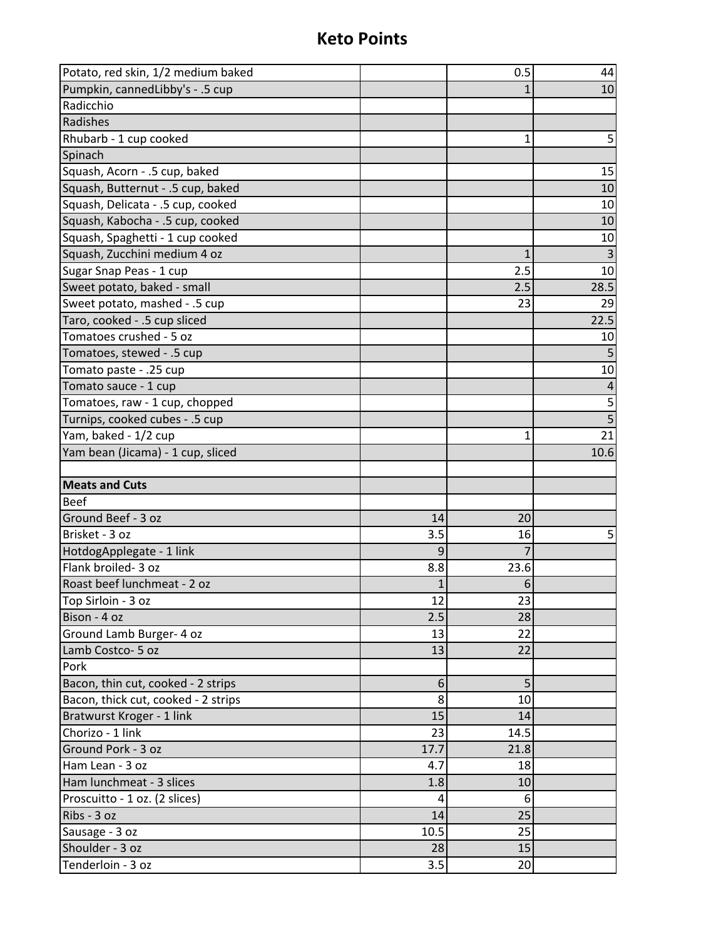| Potato, red skin, 1/2 medium baked   |           | 0.5      | 44             |
|--------------------------------------|-----------|----------|----------------|
| Pumpkin, cannedLibby's - .5 cup      |           |          | 10             |
| Radicchio                            |           |          |                |
| Radishes                             |           |          |                |
| Rhubarb - 1 cup cooked               |           | 1        | 5              |
| Spinach                              |           |          |                |
| Squash, Acorn - .5 cup, baked        |           |          | 15             |
| Squash, Butternut - .5 cup, baked    |           |          | 10             |
| Squash, Delicata - .5 cup, cooked    |           |          | 10             |
| Squash, Kabocha - .5 cup, cooked     |           |          | 10             |
| Squash, Spaghetti - 1 cup cooked     |           |          | 10             |
| Squash, Zucchini medium 4 oz         |           | 1        | $\overline{3}$ |
| Sugar Snap Peas - 1 cup              |           | 2.5      | 10             |
| Sweet potato, baked - small          |           | 2.5      | 28.5           |
| Sweet potato, mashed - .5 cup        |           | 23       | 29             |
| Taro, cooked - .5 cup sliced         |           |          | 22.5           |
| Tomatoes crushed - 5 oz              |           |          | 10             |
| Tomatoes, stewed - .5 cup            |           |          |                |
| Tomato paste - .25 cup               |           |          | 10             |
| Tomato sauce - 1 cup                 |           |          | 4              |
| Tomatoes, raw - 1 cup, chopped       |           |          | 5              |
| Turnips, cooked cubes - .5 cup       |           |          | $\overline{5}$ |
| Yam, baked - 1/2 cup                 |           | 1        | 21             |
| Yam bean (Jicama) - 1 cup, sliced    |           |          | 10.6           |
|                                      |           |          |                |
|                                      |           |          |                |
| <b>Meats and Cuts</b>                |           |          |                |
| <b>Beef</b>                          |           |          |                |
| Ground Beef - 3 oz                   | 14        | 20       |                |
| Brisket - 3 oz                       | 3.5       | 16       | 5              |
| HotdogApplegate - 1 link             |           |          |                |
| Flank broiled-3 oz                   | 8.8       | 23.6     |                |
| Roast beef lunchmeat - 2 oz          | 1         | 6        |                |
| Top Sirloin - 3 oz                   | 12        | 23       |                |
| Bison - 4 oz                         | 2.5       | 28       |                |
| Ground Lamb Burger- 4 oz             | 13        | 22       |                |
| Lamb Costco- 5 oz                    | 13        | 22       |                |
| Pork                                 |           |          |                |
| Bacon, thin cut, cooked - 2 strips   | 6         | 5        |                |
| Bacon, thick cut, cooked - 2 strips  | 8         | 10       |                |
| Bratwurst Kroger - 1 link            | 15        | 14       |                |
| Chorizo - 1 link                     | 23        | 14.5     |                |
| Ground Pork - 3 oz                   | 17.7      | 21.8     |                |
| Ham Lean - 3 oz                      | 4.7       | 18       |                |
| Ham lunchmeat - 3 slices             | 1.8       | 10       |                |
| Proscuitto - 1 oz. (2 slices)        | 4         | 6        |                |
| Ribs - 3 oz                          | 14        | 25       |                |
| Sausage - 3 oz                       | 10.5      | 25       |                |
| Shoulder - 3 oz<br>Tenderloin - 3 oz | 28<br>3.5 | 15<br>20 |                |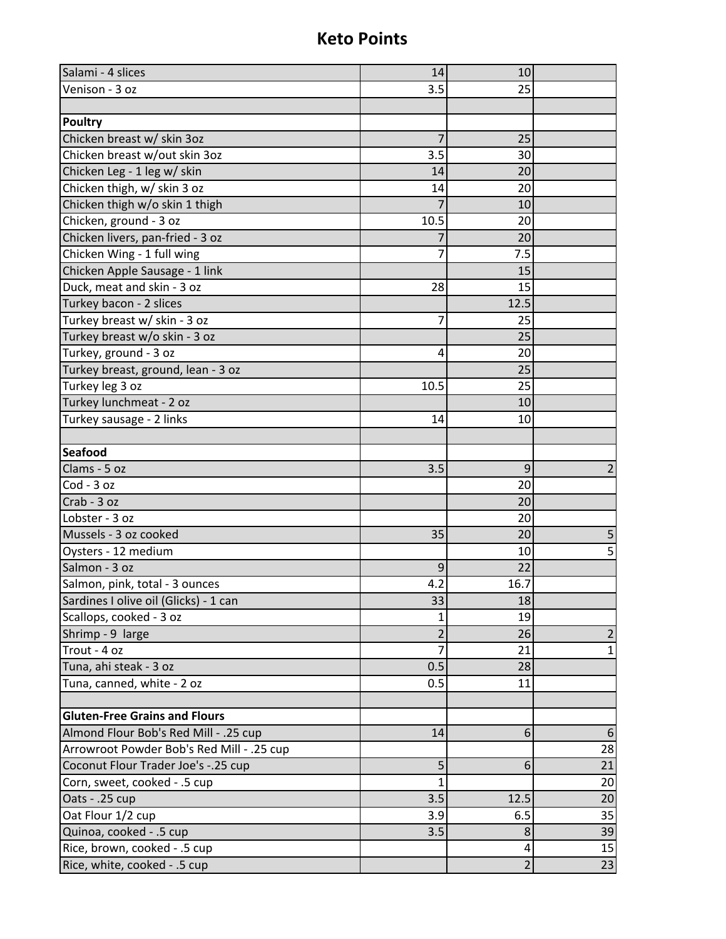| Salami - 4 slices                         | 14             | 10             |                  |
|-------------------------------------------|----------------|----------------|------------------|
| Venison - 3 oz                            | 3.5            | 25             |                  |
|                                           |                |                |                  |
| <b>Poultry</b>                            |                |                |                  |
| Chicken breast w/ skin 3oz                | 7              | 25             |                  |
| Chicken breast w/out skin 3oz             | 3.5            | 30             |                  |
| Chicken Leg - 1 leg w/ skin               | 14             | 20             |                  |
| Chicken thigh, w/ skin 3 oz               | 14             | 20             |                  |
| Chicken thigh w/o skin 1 thigh            | 7              | 10             |                  |
| Chicken, ground - 3 oz                    | 10.5           | 20             |                  |
| Chicken livers, pan-fried - 3 oz          |                | 20             |                  |
| Chicken Wing - 1 full wing                | 7              | 7.5            |                  |
| Chicken Apple Sausage - 1 link            |                | 15             |                  |
| Duck, meat and skin - 3 oz                | 28             | 15             |                  |
| Turkey bacon - 2 slices                   |                | 12.5           |                  |
| Turkey breast w/ skin - 3 oz              | $\overline{7}$ | 25             |                  |
| Turkey breast w/o skin - 3 oz             |                | 25             |                  |
| Turkey, ground - 3 oz                     | 4              | 20             |                  |
| Turkey breast, ground, lean - 3 oz        |                | 25             |                  |
| Turkey leg 3 oz                           | 10.5           | 25             |                  |
| Turkey lunchmeat - 2 oz                   |                | 10             |                  |
| Turkey sausage - 2 links                  | 14             | 10             |                  |
|                                           |                |                |                  |
| <b>Seafood</b>                            |                |                |                  |
| Clams - 5 oz                              | 3.5            | 9              | 2                |
| Cod - 3 oz                                |                | 20             |                  |
| Crab - 3 oz                               |                | 20             |                  |
| Lobster - 3 oz                            |                | 20             |                  |
| Mussels - 3 oz cooked                     | 35             | 20             | 5                |
| Oysters - 12 medium                       |                | 10             | 5                |
| Salmon - 3 oz                             | 9              | 22             |                  |
| Salmon, pink, total - 3 ounces            | 4.2            | 16.7           |                  |
| Sardines I olive oil (Glicks) - 1 can     | 33             | 18             |                  |
| Scallops, cooked - 3 oz                   | 1              | 19             |                  |
| Shrimp - 9 large                          | $\overline{2}$ | 26             | $\overline{2}$   |
| Trout - 4 oz                              |                | 21             | $\mathbf{1}$     |
| Tuna, ahi steak - 3 oz                    | 0.5            | 28             |                  |
| Tuna, canned, white - 2 oz                | 0.5            | 11             |                  |
|                                           |                |                |                  |
| <b>Gluten-Free Grains and Flours</b>      |                |                |                  |
| Almond Flour Bob's Red Mill - .25 cup     | 14             | 6              | $6 \overline{6}$ |
| Arrowroot Powder Bob's Red Mill - .25 cup |                |                | 28               |
| Coconut Flour Trader Joe's -. 25 cup      | 5              | 6              | 21               |
| Corn, sweet, cooked - .5 cup              | 1              |                | 20               |
| Oats - .25 cup                            | 3.5            | 12.5           | 20               |
| Oat Flour 1/2 cup                         | 3.9            | 6.5            | 35               |
| Quinoa, cooked - .5 cup                   | 3.5            | 8              | 39               |
| Rice, brown, cooked - .5 cup              |                | 4              | 15               |
| Rice, white, cooked - .5 cup              |                | $\overline{2}$ | 23               |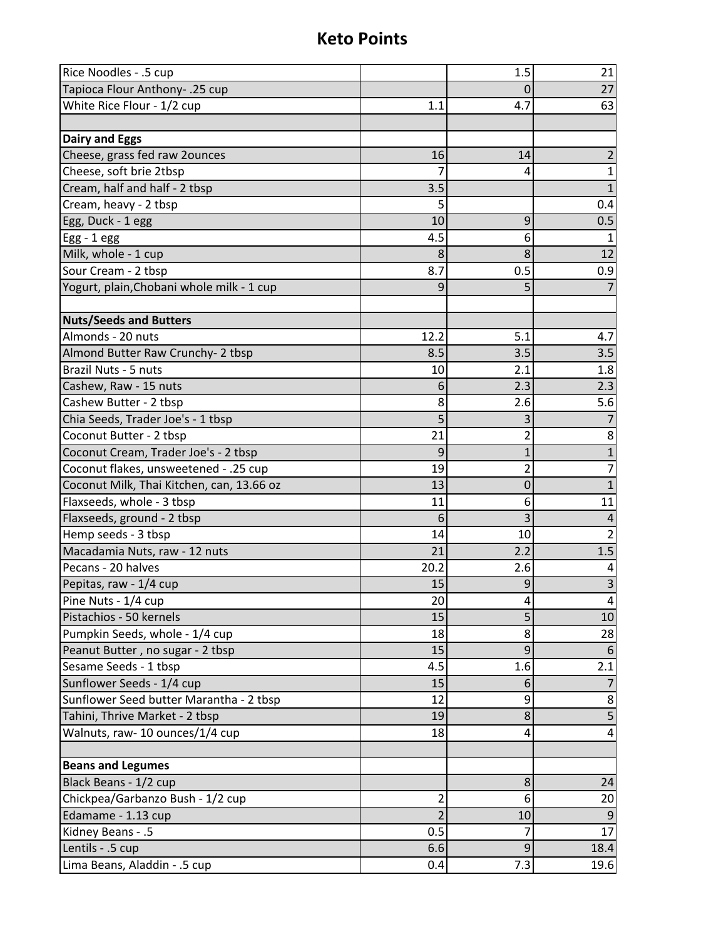| Rice Noodles - .5 cup                     |      | 1.5            | 21                      |
|-------------------------------------------|------|----------------|-------------------------|
| Tapioca Flour Anthony- .25 cup            |      | 0              | 27                      |
| White Rice Flour - 1/2 cup                | 1.1  | 4.7            | 63                      |
|                                           |      |                |                         |
| <b>Dairy and Eggs</b>                     |      |                |                         |
| Cheese, grass fed raw 2ounces             | 16   | 14             | 2                       |
| Cheese, soft brie 2tbsp                   |      | 4              | 1                       |
| Cream, half and half - 2 tbsp             | 3.5  |                | 1                       |
| Cream, heavy - 2 tbsp                     | 5    |                | 0.4                     |
| Egg, Duck - 1 egg                         | 10   | 9              | 0.5                     |
| $Egg - 1egg$                              | 4.5  | 6              | 1                       |
| Milk, whole - 1 cup                       | 8    | 8              | 12                      |
| Sour Cream - 2 tbsp                       | 8.7  | 0.5            | 0.9                     |
| Yogurt, plain, Chobani whole milk - 1 cup | 9    | 5              |                         |
|                                           |      |                |                         |
| <b>Nuts/Seeds and Butters</b>             |      |                |                         |
| Almonds - 20 nuts                         | 12.2 | 5.1            | 4.7                     |
| Almond Butter Raw Crunchy- 2 tbsp         | 8.5  | 3.5            | 3.5                     |
| Brazil Nuts - 5 nuts                      | 10   | 2.1            | 1.8                     |
| Cashew, Raw - 15 nuts                     | 6    | 2.3            | 2.3                     |
| Cashew Butter - 2 tbsp                    | 8    | 2.6            | 5.6                     |
| Chia Seeds, Trader Joe's - 1 tbsp         | 5    | 3              |                         |
| Coconut Butter - 2 tbsp                   | 21   | 2              | 8                       |
| Coconut Cream, Trader Joe's - 2 tbsp      | 9    | $\mathbf{1}$   | $\mathbf{1}$            |
| Coconut flakes, unsweetened - .25 cup     | 19   | $\overline{2}$ | $\overline{7}$          |
| Coconut Milk, Thai Kitchen, can, 13.66 oz | 13   | $\mathbf 0$    | $1\,$                   |
| Flaxseeds, whole - 3 tbsp                 | 11   | 6              | 11                      |
| Flaxseeds, ground - 2 tbsp                | 6    | 3              | $\overline{4}$          |
| Hemp seeds - 3 tbsp                       | 14   | 10             | $\overline{2}$          |
| Macadamia Nuts, raw - 12 nuts             | 21   | 2.2            | 1.5                     |
| Pecans - 20 halves                        | 20.2 | 2.6            | 4                       |
| Pepitas, raw - 1/4 cup                    | 15   | 9              | $\overline{\mathbf{3}}$ |
| Pine Nuts - 1/4 cup                       | 20   | 4              | 4                       |
| Pistachios - 50 kernels                   | 15   | 5              | 10                      |
| Pumpkin Seeds, whole - 1/4 cup            | 18   | 8              | 28                      |
| Peanut Butter, no sugar - 2 tbsp          | 15   | 9              |                         |
| Sesame Seeds - 1 tbsp                     | 4.5  | 1.6            | 2.1                     |
| Sunflower Seeds - 1/4 cup                 | 15   | 6              |                         |
| Sunflower Seed butter Marantha - 2 tbsp   | 12   | 9              | 8                       |
| Tahini, Thrive Market - 2 tbsp            | 19   | 8              | 5                       |
| Walnuts, raw- 10 ounces/1/4 cup           | 18   | 4              | 4                       |
|                                           |      |                |                         |
| <b>Beans and Legumes</b>                  |      |                |                         |
| Black Beans - 1/2 cup                     |      | 8              | 24                      |
| Chickpea/Garbanzo Bush - 1/2 cup          | 2    | 6              | 20                      |
| Edamame - 1.13 cup                        | 2    | 10             | 9                       |
| Kidney Beans - .5                         | 0.5  | 7              | 17                      |
| Lentils - .5 cup                          | 6.6  | 9              | 18.4                    |
| Lima Beans, Aladdin - .5 cup              | 0.4  | 7.3            | 19.6                    |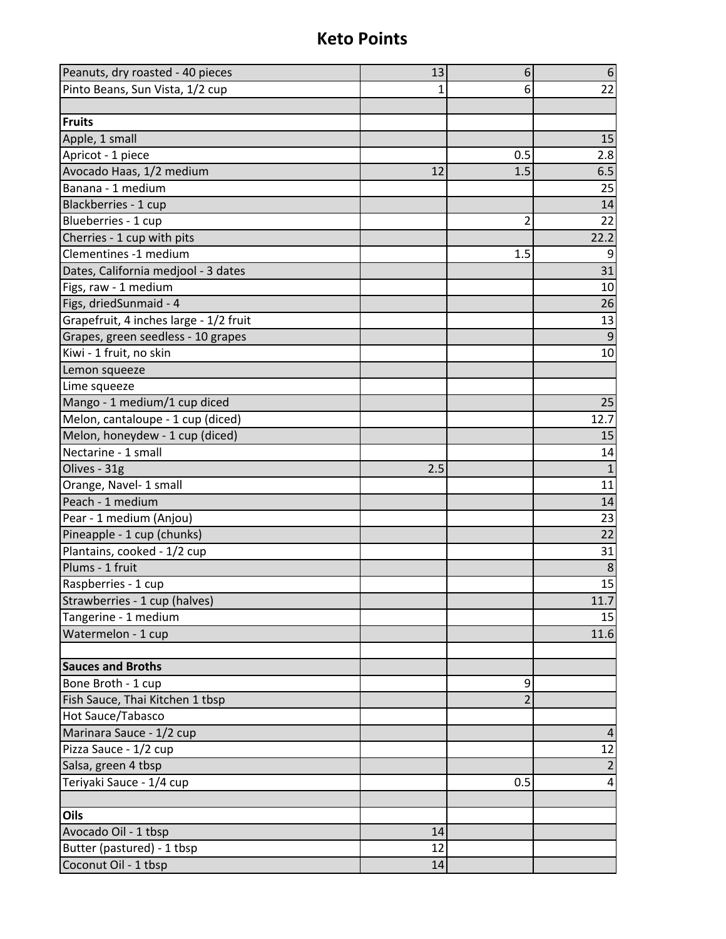| Peanuts, dry roasted - 40 pieces       | 13  | 6              | $6\,$        |
|----------------------------------------|-----|----------------|--------------|
| Pinto Beans, Sun Vista, 1/2 cup        | 1   | 6              | 22           |
|                                        |     |                |              |
| <b>Fruits</b>                          |     |                |              |
| Apple, 1 small                         |     |                | 15           |
| Apricot - 1 piece                      |     | 0.5            | 2.8          |
| Avocado Haas, 1/2 medium               | 12  | 1.5            | 6.5          |
| Banana - 1 medium                      |     |                | 25           |
| Blackberries - 1 cup                   |     |                | 14           |
| Blueberries - 1 cup                    |     | $\overline{2}$ | 22           |
| Cherries - 1 cup with pits             |     |                | 22.2         |
| Clementines -1 medium                  |     | 1.5            | 9            |
| Dates, California medjool - 3 dates    |     |                | 31           |
| Figs, raw - 1 medium                   |     |                | 10           |
| Figs, driedSunmaid - 4                 |     |                | 26           |
| Grapefruit, 4 inches large - 1/2 fruit |     |                | 13           |
| Grapes, green seedless - 10 grapes     |     |                | 9            |
| Kiwi - 1 fruit, no skin                |     |                | 10           |
| Lemon squeeze                          |     |                |              |
| Lime squeeze                           |     |                |              |
| Mango - 1 medium/1 cup diced           |     |                | 25           |
| Melon, cantaloupe - 1 cup (diced)      |     |                | 12.7         |
| Melon, honeydew - 1 cup (diced)        |     |                | 15           |
| Nectarine - 1 small                    |     |                | 14           |
| Olives - 31g                           | 2.5 |                | $\mathbf{1}$ |
| Orange, Navel- 1 small                 |     |                | 11           |
| Peach - 1 medium                       |     |                | 14           |
| Pear - 1 medium (Anjou)                |     |                | 23           |
| Pineapple - 1 cup (chunks)             |     |                | 22           |
| Plantains, cooked - 1/2 cup            |     |                | 31           |
| Plums - 1 fruit                        |     |                | 8            |
| Raspberries - 1 cup                    |     |                | 15           |
| Strawberries - 1 cup (halves)          |     |                | 11.7         |
| Tangerine - 1 medium                   |     |                | 15           |
| Watermelon - 1 cup                     |     |                | 11.6         |
| <b>Sauces and Broths</b>               |     |                |              |
| Bone Broth - 1 cup                     |     | 9              |              |
| Fish Sauce, Thai Kitchen 1 tbsp        |     | $\overline{2}$ |              |
| Hot Sauce/Tabasco                      |     |                |              |
| Marinara Sauce - 1/2 cup               |     |                | 4            |
| Pizza Sauce - 1/2 cup                  |     |                | 12           |
| Salsa, green 4 tbsp                    |     |                | 2            |
| Teriyaki Sauce - 1/4 cup               |     | 0.5            | 4            |
|                                        |     |                |              |
| Oils                                   |     |                |              |
| Avocado Oil - 1 tbsp                   | 14  |                |              |
| Butter (pastured) - 1 tbsp             | 12  |                |              |
| Coconut Oil - 1 tbsp                   | 14  |                |              |